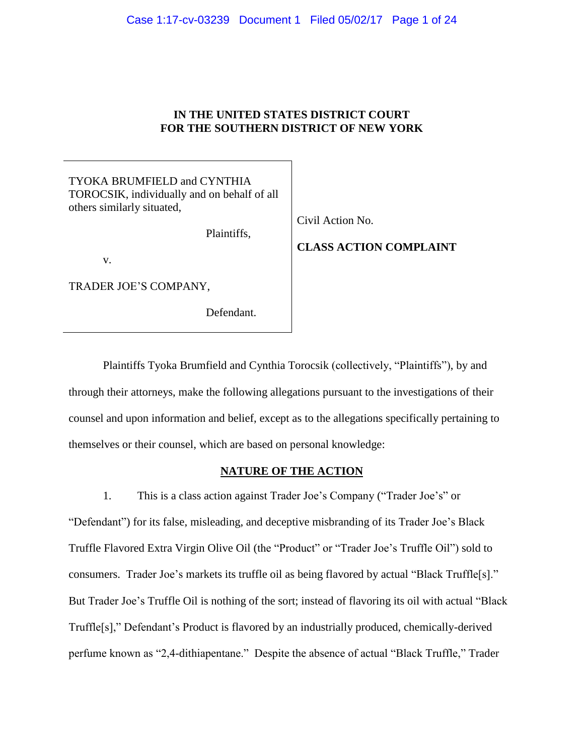# **IN THE UNITED STATES DISTRICT COURT FOR THE SOUTHERN DISTRICT OF NEW YORK**

| TYOKA BRUMFIELD and CYNTHIA<br>TOROCSIK, individually and on behalf of all<br>others similarly situated,<br>Plaintiffs,<br>V. | Civil Action No.<br><b>CLASS ACTION COMPLAINT</b> |
|-------------------------------------------------------------------------------------------------------------------------------|---------------------------------------------------|
| TRADER JOE'S COMPANY,                                                                                                         |                                                   |
| Defendant.                                                                                                                    |                                                   |

Plaintiffs Tyoka Brumfield and Cynthia Torocsik (collectively, "Plaintiffs"), by and through their attorneys, make the following allegations pursuant to the investigations of their counsel and upon information and belief, except as to the allegations specifically pertaining to themselves or their counsel, which are based on personal knowledge:

# **NATURE OF THE ACTION**

1. This is a class action against Trader Joe's Company ("Trader Joe's" or "Defendant") for its false, misleading, and deceptive misbranding of its Trader Joe's Black Truffle Flavored Extra Virgin Olive Oil (the "Product" or "Trader Joe's Truffle Oil") sold to consumers. Trader Joe's markets its truffle oil as being flavored by actual "Black Truffle[s]." But Trader Joe's Truffle Oil is nothing of the sort; instead of flavoring its oil with actual "Black Truffle[s]," Defendant's Product is flavored by an industrially produced, chemically-derived perfume known as "2,4-dithiapentane." Despite the absence of actual "Black Truffle," Trader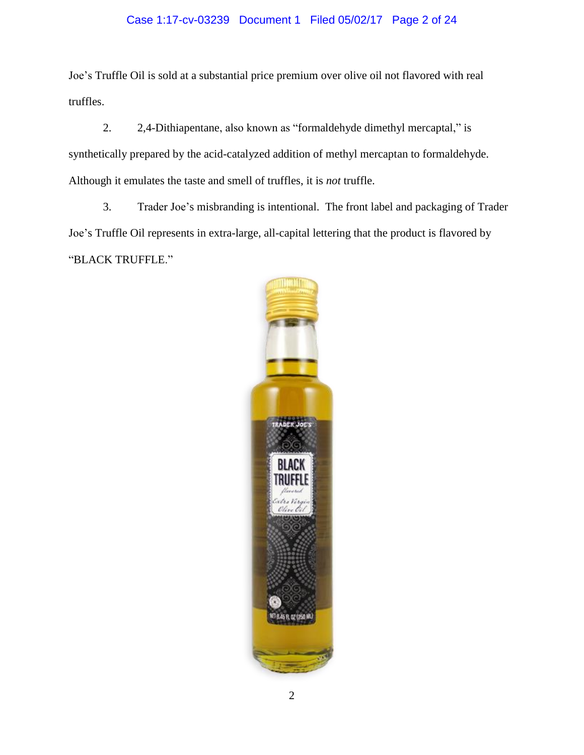# Case 1:17-cv-03239 Document 1 Filed 05/02/17 Page 2 of 24

Joe's Truffle Oil is sold at a substantial price premium over olive oil not flavored with real truffles.

2. 2,4-Dithiapentane, also known as "formaldehyde dimethyl mercaptal," is synthetically prepared by the acid-catalyzed addition of methyl mercaptan to formaldehyde. Although it emulates the taste and smell of truffles, it is *not* truffle.

3. Trader Joe's misbranding is intentional. The front label and packaging of Trader Joe's Truffle Oil represents in extra-large, all-capital lettering that the product is flavored by "BLACK TRUFFLE."

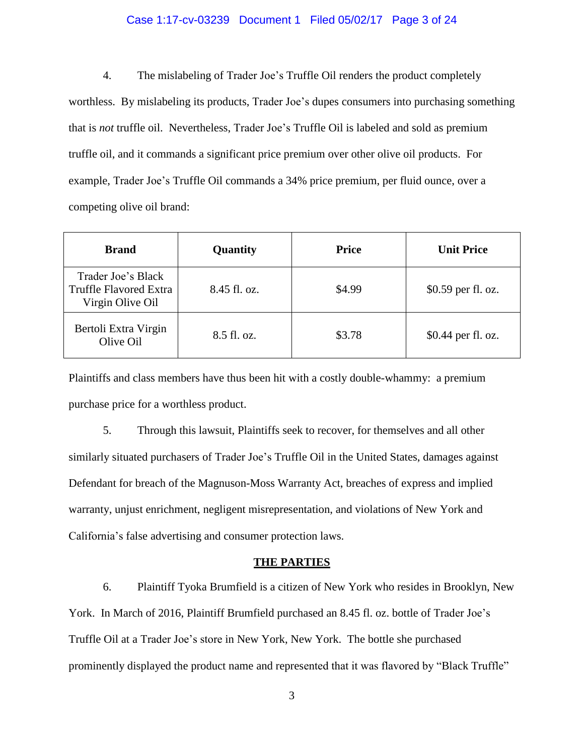#### Case 1:17-cv-03239 Document 1 Filed 05/02/17 Page 3 of 24

4. The mislabeling of Trader Joe's Truffle Oil renders the product completely worthless. By mislabeling its products, Trader Joe's dupes consumers into purchasing something that is *not* truffle oil. Nevertheless, Trader Joe's Truffle Oil is labeled and sold as premium truffle oil, and it commands a significant price premium over other olive oil products. For example, Trader Joe's Truffle Oil commands a 34% price premium, per fluid ounce, over a competing olive oil brand:

| <b>Brand</b>                                                            | Quantity     | <b>Price</b> | <b>Unit Price</b>  |
|-------------------------------------------------------------------------|--------------|--------------|--------------------|
| Trader Joe's Black<br><b>Truffle Flavored Extra</b><br>Virgin Olive Oil | 8.45 fl. oz. | \$4.99       | \$0.59 per fl. oz. |
| Bertoli Extra Virgin<br>Olive Oil                                       | 8.5 fl. oz.  | \$3.78       | \$0.44 per fl. oz. |

Plaintiffs and class members have thus been hit with a costly double-whammy: a premium purchase price for a worthless product.

5. Through this lawsuit, Plaintiffs seek to recover, for themselves and all other similarly situated purchasers of Trader Joe's Truffle Oil in the United States, damages against Defendant for breach of the Magnuson-Moss Warranty Act, breaches of express and implied warranty, unjust enrichment, negligent misrepresentation, and violations of New York and California's false advertising and consumer protection laws.

#### **THE PARTIES**

6. Plaintiff Tyoka Brumfield is a citizen of New York who resides in Brooklyn, New York. In March of 2016, Plaintiff Brumfield purchased an 8.45 fl. oz. bottle of Trader Joe's Truffle Oil at a Trader Joe's store in New York, New York. The bottle she purchased prominently displayed the product name and represented that it was flavored by "Black Truffle"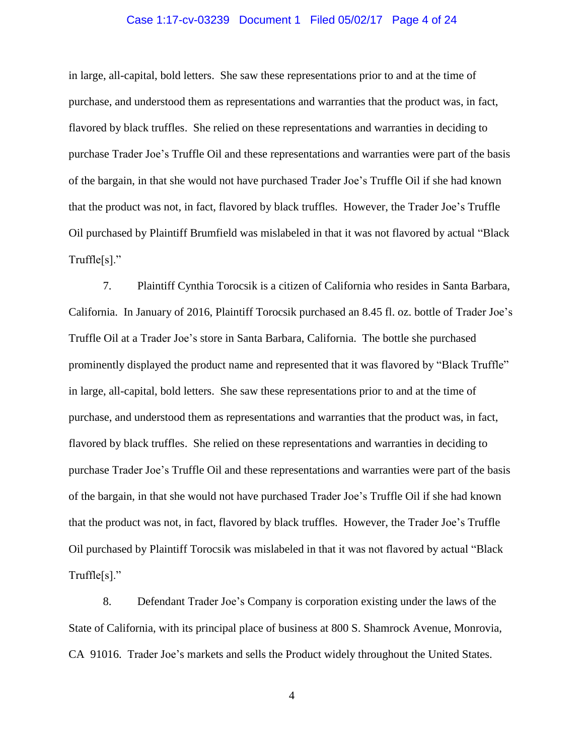#### Case 1:17-cv-03239 Document 1 Filed 05/02/17 Page 4 of 24

in large, all-capital, bold letters. She saw these representations prior to and at the time of purchase, and understood them as representations and warranties that the product was, in fact, flavored by black truffles. She relied on these representations and warranties in deciding to purchase Trader Joe's Truffle Oil and these representations and warranties were part of the basis of the bargain, in that she would not have purchased Trader Joe's Truffle Oil if she had known that the product was not, in fact, flavored by black truffles. However, the Trader Joe's Truffle Oil purchased by Plaintiff Brumfield was mislabeled in that it was not flavored by actual "Black Truffle[s]."

7. Plaintiff Cynthia Torocsik is a citizen of California who resides in Santa Barbara, California. In January of 2016, Plaintiff Torocsik purchased an 8.45 fl. oz. bottle of Trader Joe's Truffle Oil at a Trader Joe's store in Santa Barbara, California. The bottle she purchased prominently displayed the product name and represented that it was flavored by "Black Truffle" in large, all-capital, bold letters. She saw these representations prior to and at the time of purchase, and understood them as representations and warranties that the product was, in fact, flavored by black truffles. She relied on these representations and warranties in deciding to purchase Trader Joe's Truffle Oil and these representations and warranties were part of the basis of the bargain, in that she would not have purchased Trader Joe's Truffle Oil if she had known that the product was not, in fact, flavored by black truffles. However, the Trader Joe's Truffle Oil purchased by Plaintiff Torocsik was mislabeled in that it was not flavored by actual "Black Truffle[s]."

8. Defendant Trader Joe's Company is corporation existing under the laws of the State of California, with its principal place of business at 800 S. Shamrock Avenue, Monrovia, CA 91016. Trader Joe's markets and sells the Product widely throughout the United States.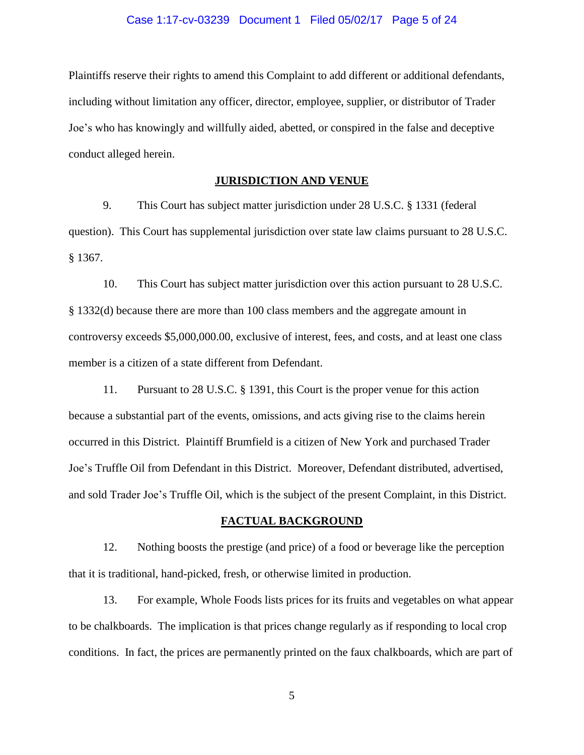Plaintiffs reserve their rights to amend this Complaint to add different or additional defendants, including without limitation any officer, director, employee, supplier, or distributor of Trader Joe's who has knowingly and willfully aided, abetted, or conspired in the false and deceptive conduct alleged herein.

# **JURISDICTION AND VENUE**

9. This Court has subject matter jurisdiction under 28 U.S.C. § 1331 (federal question). This Court has supplemental jurisdiction over state law claims pursuant to 28 U.S.C. § 1367.

10. This Court has subject matter jurisdiction over this action pursuant to 28 U.S.C. § 1332(d) because there are more than 100 class members and the aggregate amount in controversy exceeds \$5,000,000.00, exclusive of interest, fees, and costs, and at least one class member is a citizen of a state different from Defendant.

11. Pursuant to 28 U.S.C. § 1391, this Court is the proper venue for this action because a substantial part of the events, omissions, and acts giving rise to the claims herein occurred in this District. Plaintiff Brumfield is a citizen of New York and purchased Trader Joe's Truffle Oil from Defendant in this District. Moreover, Defendant distributed, advertised, and sold Trader Joe's Truffle Oil, which is the subject of the present Complaint, in this District.

### **FACTUAL BACKGROUND**

12. Nothing boosts the prestige (and price) of a food or beverage like the perception that it is traditional, hand-picked, fresh, or otherwise limited in production.

13. For example, Whole Foods lists prices for its fruits and vegetables on what appear to be chalkboards. The implication is that prices change regularly as if responding to local crop conditions. In fact, the prices are permanently printed on the faux chalkboards, which are part of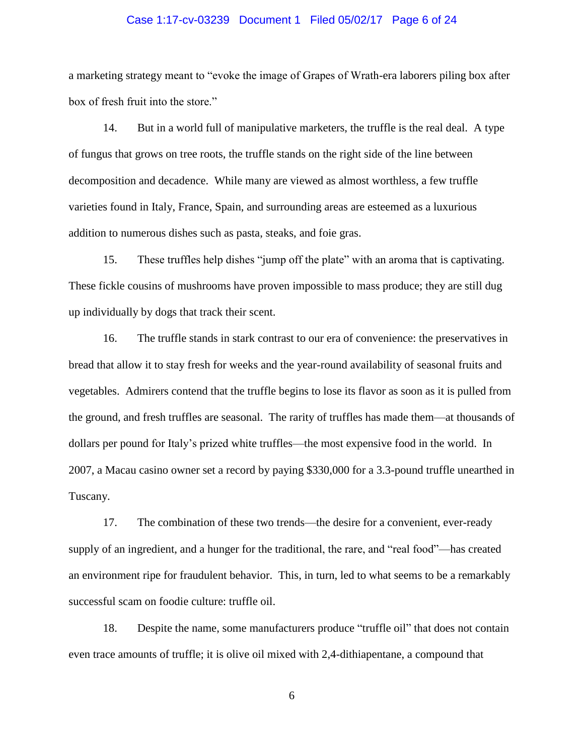#### Case 1:17-cv-03239 Document 1 Filed 05/02/17 Page 6 of 24

a marketing strategy meant to "evoke the image of Grapes of Wrath-era laborers piling box after box of fresh fruit into the store."

14. But in a world full of manipulative marketers, the truffle is the real deal. A type of fungus that grows on tree roots, the truffle stands on the right side of the line between decomposition and decadence. While many are viewed as almost worthless, a few truffle varieties found in Italy, France, Spain, and surrounding areas are esteemed as a luxurious addition to numerous dishes such as pasta, steaks, and foie gras.

15. These truffles help dishes "jump off the plate" with an aroma that is captivating. These fickle cousins of mushrooms have proven impossible to mass produce; they are still dug up individually by dogs that track their scent.

16. The truffle stands in stark contrast to our era of convenience: the preservatives in bread that allow it to stay fresh for weeks and the year-round availability of seasonal fruits and vegetables. Admirers contend that the truffle begins to lose its flavor as soon as it is pulled from the ground, and fresh truffles are seasonal. The rarity of truffles has made them—at thousands of dollars per pound for Italy's prized white truffles—the most expensive food in the world. In 2007, a Macau casino owner set a record by paying \$330,000 for a 3.3-pound truffle unearthed in Tuscany.

17. The combination of these two trends—the desire for a convenient, ever-ready supply of an ingredient, and a hunger for the traditional, the rare, and "real food"—has created an environment ripe for fraudulent behavior. This, in turn, led to what seems to be a remarkably successful scam on foodie culture: truffle oil.

18. Despite the name, some manufacturers produce "truffle oil" that does not contain even trace amounts of truffle; it is olive oil mixed with 2,4-dithiapentane, a compound that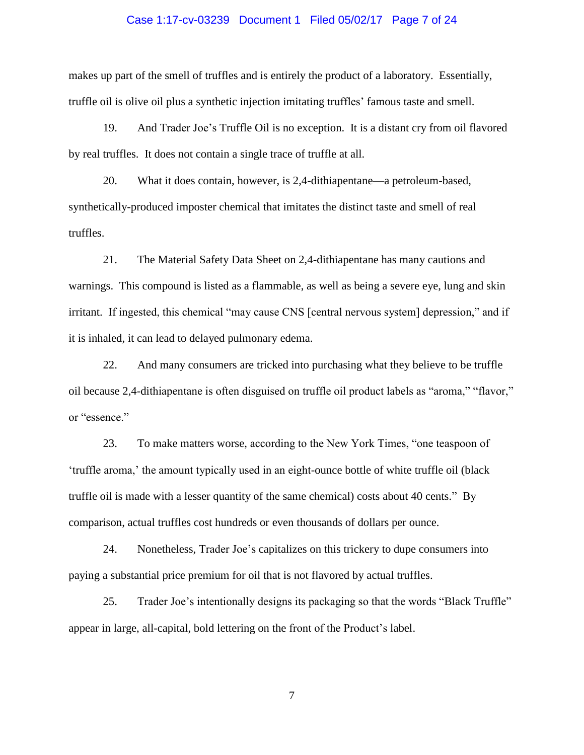#### Case 1:17-cv-03239 Document 1 Filed 05/02/17 Page 7 of 24

makes up part of the smell of truffles and is entirely the product of a laboratory. Essentially, truffle oil is olive oil plus a synthetic injection imitating truffles' famous taste and smell.

19. And Trader Joe's Truffle Oil is no exception. It is a distant cry from oil flavored by real truffles. It does not contain a single trace of truffle at all.

20. What it does contain, however, is 2,4-dithiapentane—a petroleum-based, synthetically-produced imposter chemical that imitates the distinct taste and smell of real truffles.

21. The Material Safety Data Sheet on 2,4-dithiapentane has many cautions and warnings. This compound is listed as a flammable, as well as being a severe eye, lung and skin irritant. If ingested, this chemical "may cause CNS [central nervous system] depression," and if it is inhaled, it can lead to delayed pulmonary edema.

22. And many consumers are tricked into purchasing what they believe to be truffle oil because 2,4-dithiapentane is often disguised on truffle oil product labels as "aroma," "flavor," or "essence."

23. To make matters worse, according to the New York Times, "one teaspoon of 'truffle aroma,' the amount typically used in an eight-ounce bottle of white truffle oil (black truffle oil is made with a lesser quantity of the same chemical) costs about 40 cents." By comparison, actual truffles cost hundreds or even thousands of dollars per ounce.

24. Nonetheless, Trader Joe's capitalizes on this trickery to dupe consumers into paying a substantial price premium for oil that is not flavored by actual truffles.

25. Trader Joe's intentionally designs its packaging so that the words "Black Truffle" appear in large, all-capital, bold lettering on the front of the Product's label.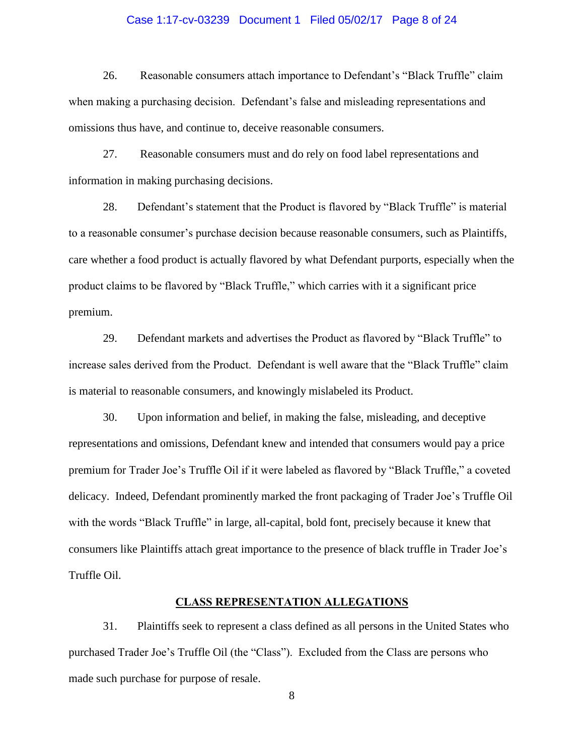#### Case 1:17-cv-03239 Document 1 Filed 05/02/17 Page 8 of 24

26. Reasonable consumers attach importance to Defendant's "Black Truffle" claim when making a purchasing decision. Defendant's false and misleading representations and omissions thus have, and continue to, deceive reasonable consumers.

27. Reasonable consumers must and do rely on food label representations and information in making purchasing decisions.

28. Defendant's statement that the Product is flavored by "Black Truffle" is material to a reasonable consumer's purchase decision because reasonable consumers, such as Plaintiffs, care whether a food product is actually flavored by what Defendant purports, especially when the product claims to be flavored by "Black Truffle," which carries with it a significant price premium.

29. Defendant markets and advertises the Product as flavored by "Black Truffle" to increase sales derived from the Product. Defendant is well aware that the "Black Truffle" claim is material to reasonable consumers, and knowingly mislabeled its Product.

30. Upon information and belief, in making the false, misleading, and deceptive representations and omissions, Defendant knew and intended that consumers would pay a price premium for Trader Joe's Truffle Oil if it were labeled as flavored by "Black Truffle," a coveted delicacy. Indeed, Defendant prominently marked the front packaging of Trader Joe's Truffle Oil with the words "Black Truffle" in large, all-capital, bold font, precisely because it knew that consumers like Plaintiffs attach great importance to the presence of black truffle in Trader Joe's Truffle Oil.

### **CLASS REPRESENTATION ALLEGATIONS**

31. Plaintiffs seek to represent a class defined as all persons in the United States who purchased Trader Joe's Truffle Oil (the "Class"). Excluded from the Class are persons who made such purchase for purpose of resale.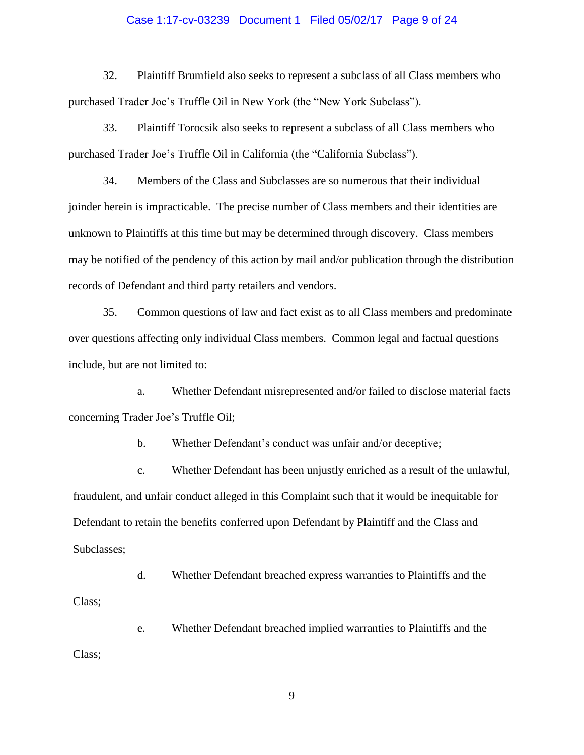#### Case 1:17-cv-03239 Document 1 Filed 05/02/17 Page 9 of 24

32. Plaintiff Brumfield also seeks to represent a subclass of all Class members who purchased Trader Joe's Truffle Oil in New York (the "New York Subclass").

33. Plaintiff Torocsik also seeks to represent a subclass of all Class members who purchased Trader Joe's Truffle Oil in California (the "California Subclass").

34. Members of the Class and Subclasses are so numerous that their individual joinder herein is impracticable. The precise number of Class members and their identities are unknown to Plaintiffs at this time but may be determined through discovery. Class members may be notified of the pendency of this action by mail and/or publication through the distribution records of Defendant and third party retailers and vendors.

35. Common questions of law and fact exist as to all Class members and predominate over questions affecting only individual Class members. Common legal and factual questions include, but are not limited to:

a. Whether Defendant misrepresented and/or failed to disclose material facts concerning Trader Joe's Truffle Oil;

b. Whether Defendant's conduct was unfair and/or deceptive;

c. Whether Defendant has been unjustly enriched as a result of the unlawful, fraudulent, and unfair conduct alleged in this Complaint such that it would be inequitable for Defendant to retain the benefits conferred upon Defendant by Plaintiff and the Class and Subclasses;

d. Whether Defendant breached express warranties to Plaintiffs and the Class;

e. Whether Defendant breached implied warranties to Plaintiffs and the Class;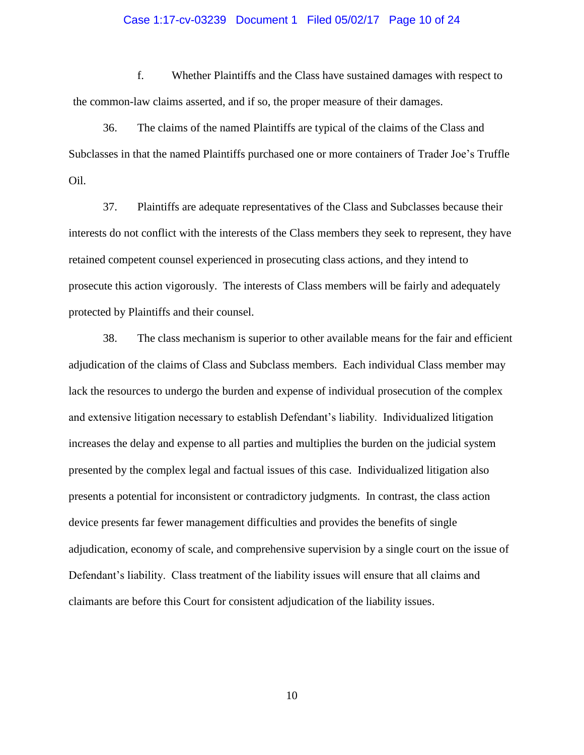#### Case 1:17-cv-03239 Document 1 Filed 05/02/17 Page 10 of 24

f. Whether Plaintiffs and the Class have sustained damages with respect to the common-law claims asserted, and if so, the proper measure of their damages.

36. The claims of the named Plaintiffs are typical of the claims of the Class and Subclasses in that the named Plaintiffs purchased one or more containers of Trader Joe's Truffle Oil.

37. Plaintiffs are adequate representatives of the Class and Subclasses because their interests do not conflict with the interests of the Class members they seek to represent, they have retained competent counsel experienced in prosecuting class actions, and they intend to prosecute this action vigorously. The interests of Class members will be fairly and adequately protected by Plaintiffs and their counsel.

38. The class mechanism is superior to other available means for the fair and efficient adjudication of the claims of Class and Subclass members. Each individual Class member may lack the resources to undergo the burden and expense of individual prosecution of the complex and extensive litigation necessary to establish Defendant's liability. Individualized litigation increases the delay and expense to all parties and multiplies the burden on the judicial system presented by the complex legal and factual issues of this case. Individualized litigation also presents a potential for inconsistent or contradictory judgments. In contrast, the class action device presents far fewer management difficulties and provides the benefits of single adjudication, economy of scale, and comprehensive supervision by a single court on the issue of Defendant's liability. Class treatment of the liability issues will ensure that all claims and claimants are before this Court for consistent adjudication of the liability issues.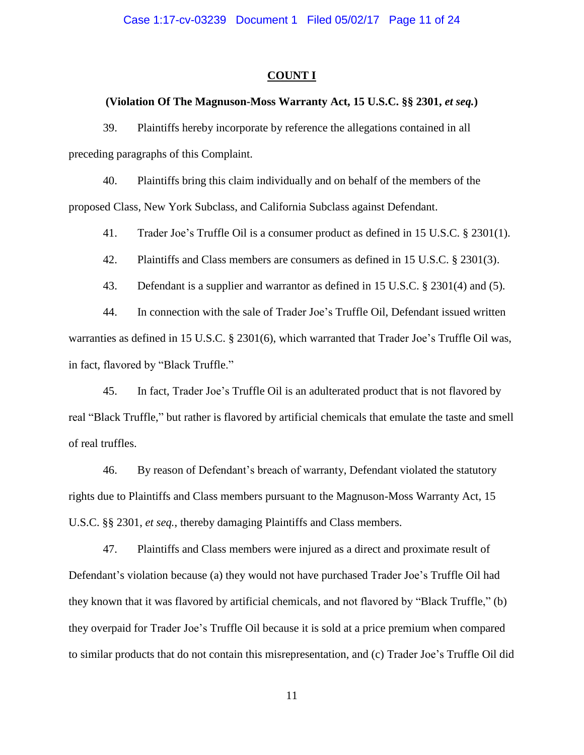#### **COUNT I**

#### **(Violation Of The Magnuson-Moss Warranty Act, 15 U.S.C. §§ 2301,** *et seq.***)**

39. Plaintiffs hereby incorporate by reference the allegations contained in all preceding paragraphs of this Complaint.

40. Plaintiffs bring this claim individually and on behalf of the members of the proposed Class, New York Subclass, and California Subclass against Defendant.

41. Trader Joe's Truffle Oil is a consumer product as defined in 15 U.S.C. § 2301(1).

42. Plaintiffs and Class members are consumers as defined in 15 U.S.C. § 2301(3).

43. Defendant is a supplier and warrantor as defined in 15 U.S.C. § 2301(4) and (5).

44. In connection with the sale of Trader Joe's Truffle Oil, Defendant issued written warranties as defined in 15 U.S.C. § 2301(6), which warranted that Trader Joe's Truffle Oil was, in fact, flavored by "Black Truffle."

45. In fact, Trader Joe's Truffle Oil is an adulterated product that is not flavored by real "Black Truffle," but rather is flavored by artificial chemicals that emulate the taste and smell of real truffles.

46. By reason of Defendant's breach of warranty, Defendant violated the statutory rights due to Plaintiffs and Class members pursuant to the Magnuson-Moss Warranty Act, 15 U.S.C. §§ 2301, *et seq.*, thereby damaging Plaintiffs and Class members.

47. Plaintiffs and Class members were injured as a direct and proximate result of Defendant's violation because (a) they would not have purchased Trader Joe's Truffle Oil had they known that it was flavored by artificial chemicals, and not flavored by "Black Truffle," (b) they overpaid for Trader Joe's Truffle Oil because it is sold at a price premium when compared to similar products that do not contain this misrepresentation, and (c) Trader Joe's Truffle Oil did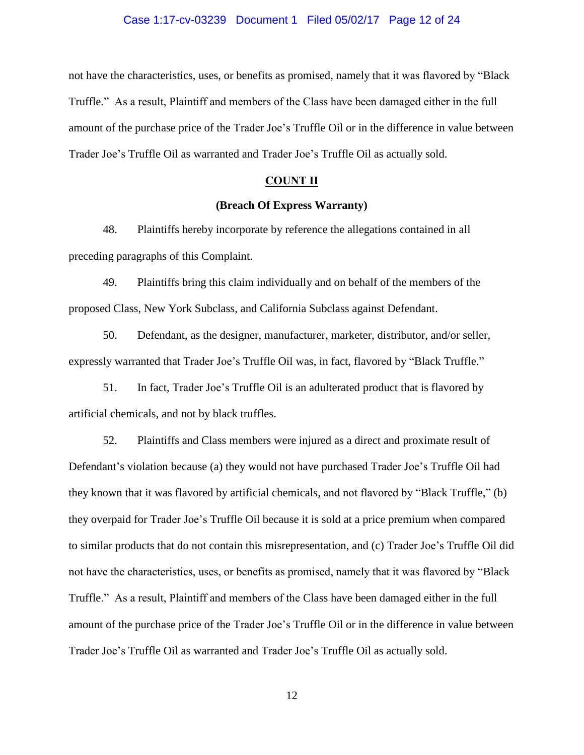#### Case 1:17-cv-03239 Document 1 Filed 05/02/17 Page 12 of 24

not have the characteristics, uses, or benefits as promised, namely that it was flavored by "Black Truffle." As a result, Plaintiff and members of the Class have been damaged either in the full amount of the purchase price of the Trader Joe's Truffle Oil or in the difference in value between Trader Joe's Truffle Oil as warranted and Trader Joe's Truffle Oil as actually sold.

## **COUNT II**

# **(Breach Of Express Warranty)**

48. Plaintiffs hereby incorporate by reference the allegations contained in all preceding paragraphs of this Complaint.

49. Plaintiffs bring this claim individually and on behalf of the members of the proposed Class, New York Subclass, and California Subclass against Defendant.

50. Defendant, as the designer, manufacturer, marketer, distributor, and/or seller, expressly warranted that Trader Joe's Truffle Oil was, in fact, flavored by "Black Truffle."

51. In fact, Trader Joe's Truffle Oil is an adulterated product that is flavored by artificial chemicals, and not by black truffles.

52. Plaintiffs and Class members were injured as a direct and proximate result of Defendant's violation because (a) they would not have purchased Trader Joe's Truffle Oil had they known that it was flavored by artificial chemicals, and not flavored by "Black Truffle," (b) they overpaid for Trader Joe's Truffle Oil because it is sold at a price premium when compared to similar products that do not contain this misrepresentation, and (c) Trader Joe's Truffle Oil did not have the characteristics, uses, or benefits as promised, namely that it was flavored by "Black Truffle." As a result, Plaintiff and members of the Class have been damaged either in the full amount of the purchase price of the Trader Joe's Truffle Oil or in the difference in value between Trader Joe's Truffle Oil as warranted and Trader Joe's Truffle Oil as actually sold.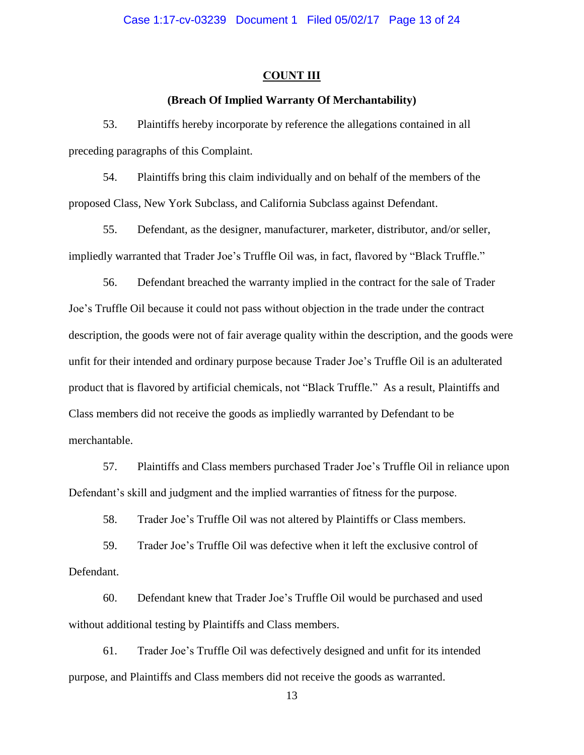#### **COUNT III**

## **(Breach Of Implied Warranty Of Merchantability)**

53. Plaintiffs hereby incorporate by reference the allegations contained in all preceding paragraphs of this Complaint.

54. Plaintiffs bring this claim individually and on behalf of the members of the proposed Class, New York Subclass, and California Subclass against Defendant.

55. Defendant, as the designer, manufacturer, marketer, distributor, and/or seller, impliedly warranted that Trader Joe's Truffle Oil was, in fact, flavored by "Black Truffle."

56. Defendant breached the warranty implied in the contract for the sale of Trader Joe's Truffle Oil because it could not pass without objection in the trade under the contract description, the goods were not of fair average quality within the description, and the goods were unfit for their intended and ordinary purpose because Trader Joe's Truffle Oil is an adulterated product that is flavored by artificial chemicals, not "Black Truffle." As a result, Plaintiffs and Class members did not receive the goods as impliedly warranted by Defendant to be merchantable.

57. Plaintiffs and Class members purchased Trader Joe's Truffle Oil in reliance upon Defendant's skill and judgment and the implied warranties of fitness for the purpose.

58. Trader Joe's Truffle Oil was not altered by Plaintiffs or Class members.

59. Trader Joe's Truffle Oil was defective when it left the exclusive control of Defendant.

60. Defendant knew that Trader Joe's Truffle Oil would be purchased and used without additional testing by Plaintiffs and Class members.

61. Trader Joe's Truffle Oil was defectively designed and unfit for its intended purpose, and Plaintiffs and Class members did not receive the goods as warranted.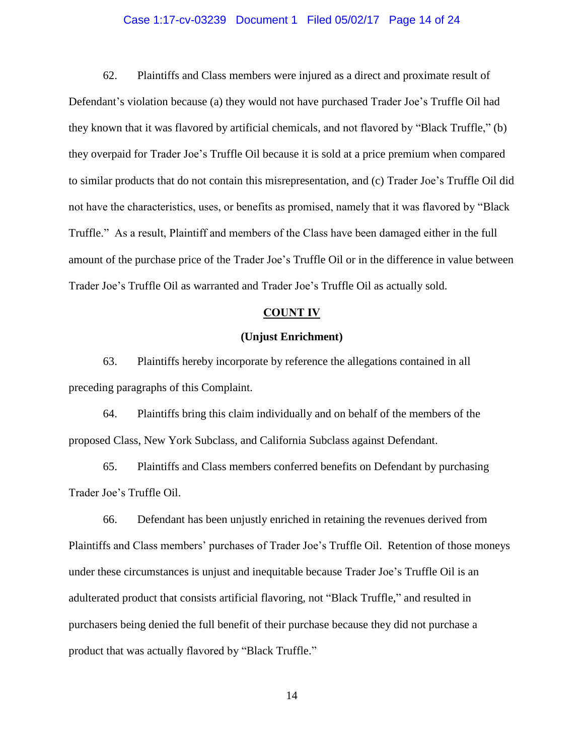### Case 1:17-cv-03239 Document 1 Filed 05/02/17 Page 14 of 24

62. Plaintiffs and Class members were injured as a direct and proximate result of Defendant's violation because (a) they would not have purchased Trader Joe's Truffle Oil had they known that it was flavored by artificial chemicals, and not flavored by "Black Truffle," (b) they overpaid for Trader Joe's Truffle Oil because it is sold at a price premium when compared to similar products that do not contain this misrepresentation, and (c) Trader Joe's Truffle Oil did not have the characteristics, uses, or benefits as promised, namely that it was flavored by "Black Truffle." As a result, Plaintiff and members of the Class have been damaged either in the full amount of the purchase price of the Trader Joe's Truffle Oil or in the difference in value between Trader Joe's Truffle Oil as warranted and Trader Joe's Truffle Oil as actually sold.

### **COUNT IV**

## **(Unjust Enrichment)**

63. Plaintiffs hereby incorporate by reference the allegations contained in all preceding paragraphs of this Complaint.

64. Plaintiffs bring this claim individually and on behalf of the members of the proposed Class, New York Subclass, and California Subclass against Defendant.

65. Plaintiffs and Class members conferred benefits on Defendant by purchasing Trader Joe's Truffle Oil.

66. Defendant has been unjustly enriched in retaining the revenues derived from Plaintiffs and Class members' purchases of Trader Joe's Truffle Oil. Retention of those moneys under these circumstances is unjust and inequitable because Trader Joe's Truffle Oil is an adulterated product that consists artificial flavoring, not "Black Truffle," and resulted in purchasers being denied the full benefit of their purchase because they did not purchase a product that was actually flavored by "Black Truffle."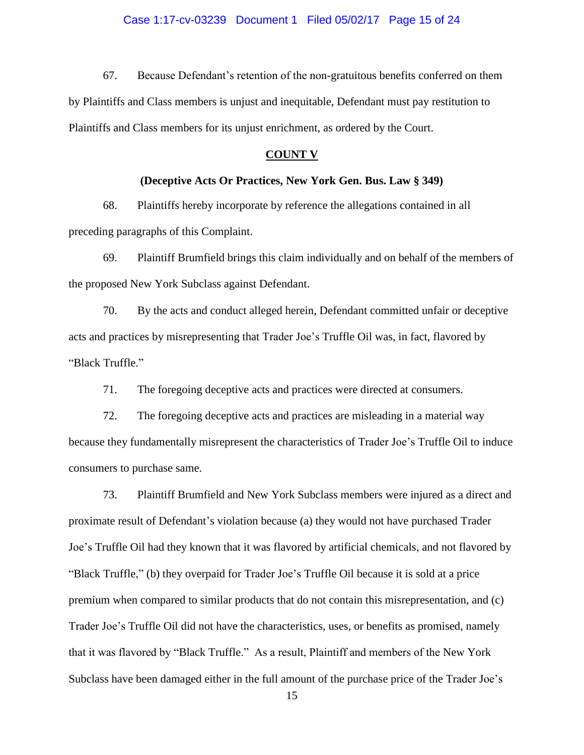67. Because Defendant's retention of the non-gratuitous benefits conferred on them by Plaintiffs and Class members is unjust and inequitable, Defendant must pay restitution to Plaintiffs and Class members for its unjust enrichment, as ordered by the Court.

## **COUNT V**

#### **(Deceptive Acts Or Practices, New York Gen. Bus. Law § 349)**

68. Plaintiffs hereby incorporate by reference the allegations contained in all preceding paragraphs of this Complaint.

69. Plaintiff Brumfield brings this claim individually and on behalf of the members of the proposed New York Subclass against Defendant.

70. By the acts and conduct alleged herein, Defendant committed unfair or deceptive acts and practices by misrepresenting that Trader Joe's Truffle Oil was, in fact, flavored by "Black Truffle."

71. The foregoing deceptive acts and practices were directed at consumers.

72. The foregoing deceptive acts and practices are misleading in a material way because they fundamentally misrepresent the characteristics of Trader Joe's Truffle Oil to induce consumers to purchase same.

73. Plaintiff Brumfield and New York Subclass members were injured as a direct and proximate result of Defendant's violation because (a) they would not have purchased Trader Joe's Truffle Oil had they known that it was flavored by artificial chemicals, and not flavored by "Black Truffle," (b) they overpaid for Trader Joe's Truffle Oil because it is sold at a price premium when compared to similar products that do not contain this misrepresentation, and (c) Trader Joe's Truffle Oil did not have the characteristics, uses, or benefits as promised, namely that it was flavored by "Black Truffle." As a result, Plaintiff and members of the New York Subclass have been damaged either in the full amount of the purchase price of the Trader Joe's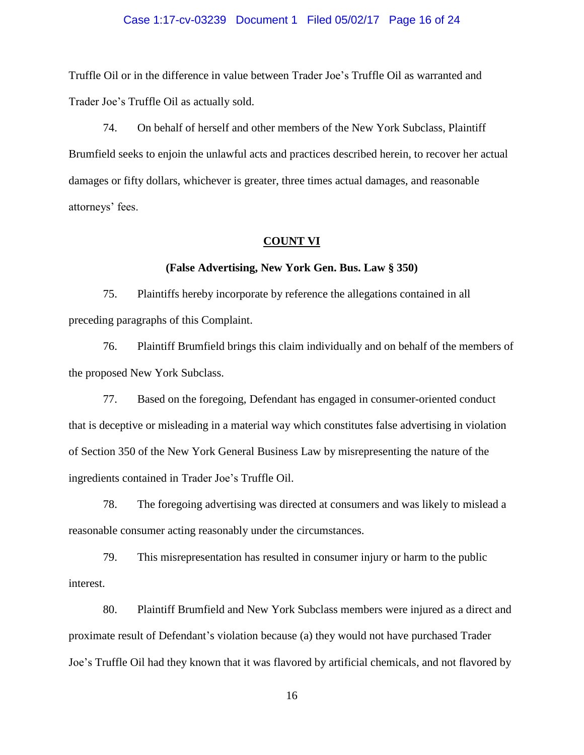#### Case 1:17-cv-03239 Document 1 Filed 05/02/17 Page 16 of 24

Truffle Oil or in the difference in value between Trader Joe's Truffle Oil as warranted and Trader Joe's Truffle Oil as actually sold.

74. On behalf of herself and other members of the New York Subclass, Plaintiff Brumfield seeks to enjoin the unlawful acts and practices described herein, to recover her actual damages or fifty dollars, whichever is greater, three times actual damages, and reasonable attorneys' fees.

#### **COUNT VI**

## **(False Advertising, New York Gen. Bus. Law § 350)**

75. Plaintiffs hereby incorporate by reference the allegations contained in all preceding paragraphs of this Complaint.

76. Plaintiff Brumfield brings this claim individually and on behalf of the members of the proposed New York Subclass.

77. Based on the foregoing, Defendant has engaged in consumer-oriented conduct that is deceptive or misleading in a material way which constitutes false advertising in violation of Section 350 of the New York General Business Law by misrepresenting the nature of the ingredients contained in Trader Joe's Truffle Oil.

78. The foregoing advertising was directed at consumers and was likely to mislead a reasonable consumer acting reasonably under the circumstances.

79. This misrepresentation has resulted in consumer injury or harm to the public interest.

80. Plaintiff Brumfield and New York Subclass members were injured as a direct and proximate result of Defendant's violation because (a) they would not have purchased Trader Joe's Truffle Oil had they known that it was flavored by artificial chemicals, and not flavored by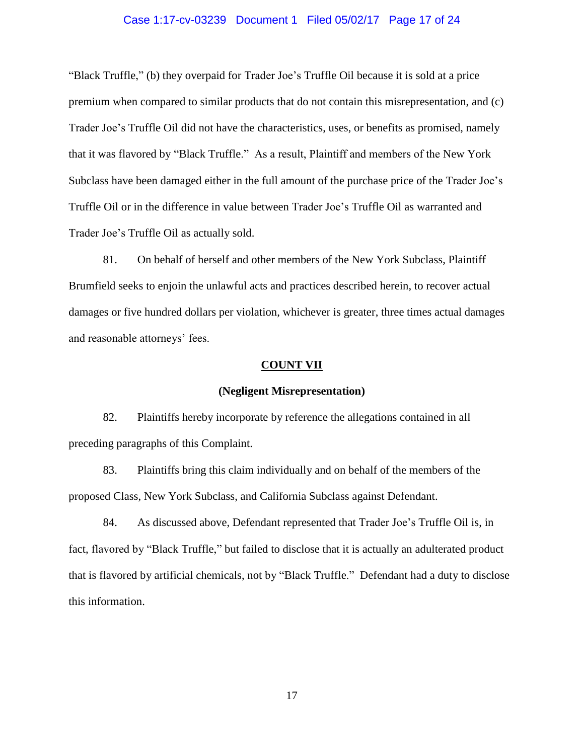#### Case 1:17-cv-03239 Document 1 Filed 05/02/17 Page 17 of 24

"Black Truffle," (b) they overpaid for Trader Joe's Truffle Oil because it is sold at a price premium when compared to similar products that do not contain this misrepresentation, and (c) Trader Joe's Truffle Oil did not have the characteristics, uses, or benefits as promised, namely that it was flavored by "Black Truffle." As a result, Plaintiff and members of the New York Subclass have been damaged either in the full amount of the purchase price of the Trader Joe's Truffle Oil or in the difference in value between Trader Joe's Truffle Oil as warranted and Trader Joe's Truffle Oil as actually sold.

81. On behalf of herself and other members of the New York Subclass, Plaintiff Brumfield seeks to enjoin the unlawful acts and practices described herein, to recover actual damages or five hundred dollars per violation, whichever is greater, three times actual damages and reasonable attorneys' fees.

#### **COUNT VII**

#### **(Negligent Misrepresentation)**

82. Plaintiffs hereby incorporate by reference the allegations contained in all preceding paragraphs of this Complaint.

83. Plaintiffs bring this claim individually and on behalf of the members of the proposed Class, New York Subclass, and California Subclass against Defendant.

84. As discussed above, Defendant represented that Trader Joe's Truffle Oil is, in fact, flavored by "Black Truffle," but failed to disclose that it is actually an adulterated product that is flavored by artificial chemicals, not by "Black Truffle." Defendant had a duty to disclose this information.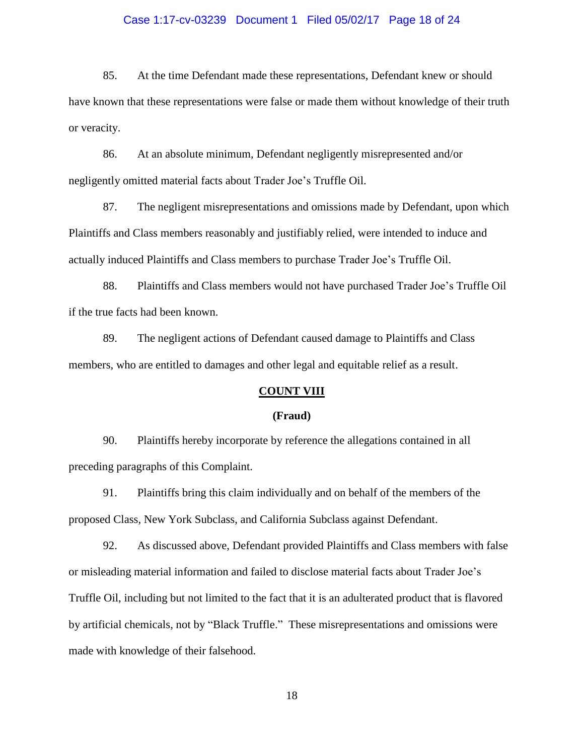#### Case 1:17-cv-03239 Document 1 Filed 05/02/17 Page 18 of 24

85. At the time Defendant made these representations, Defendant knew or should have known that these representations were false or made them without knowledge of their truth or veracity.

86. At an absolute minimum, Defendant negligently misrepresented and/or negligently omitted material facts about Trader Joe's Truffle Oil.

87. The negligent misrepresentations and omissions made by Defendant, upon which Plaintiffs and Class members reasonably and justifiably relied, were intended to induce and actually induced Plaintiffs and Class members to purchase Trader Joe's Truffle Oil.

88. Plaintiffs and Class members would not have purchased Trader Joe's Truffle Oil if the true facts had been known.

89. The negligent actions of Defendant caused damage to Plaintiffs and Class members, who are entitled to damages and other legal and equitable relief as a result.

### **COUNT VIII**

#### **(Fraud)**

90. Plaintiffs hereby incorporate by reference the allegations contained in all preceding paragraphs of this Complaint.

91. Plaintiffs bring this claim individually and on behalf of the members of the proposed Class, New York Subclass, and California Subclass against Defendant.

92. As discussed above, Defendant provided Plaintiffs and Class members with false or misleading material information and failed to disclose material facts about Trader Joe's Truffle Oil, including but not limited to the fact that it is an adulterated product that is flavored by artificial chemicals, not by "Black Truffle." These misrepresentations and omissions were made with knowledge of their falsehood.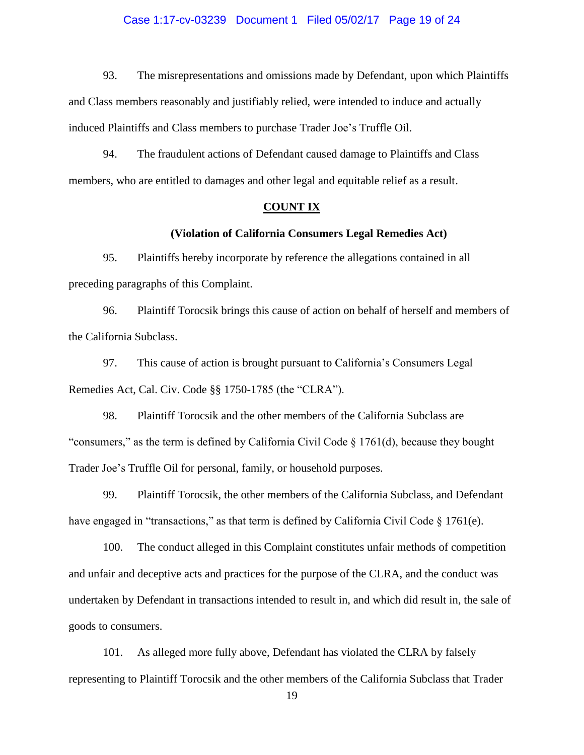#### Case 1:17-cv-03239 Document 1 Filed 05/02/17 Page 19 of 24

93. The misrepresentations and omissions made by Defendant, upon which Plaintiffs and Class members reasonably and justifiably relied, were intended to induce and actually induced Plaintiffs and Class members to purchase Trader Joe's Truffle Oil.

94. The fraudulent actions of Defendant caused damage to Plaintiffs and Class members, who are entitled to damages and other legal and equitable relief as a result.

### **COUNT IX**

# **(Violation of California Consumers Legal Remedies Act)**

95. Plaintiffs hereby incorporate by reference the allegations contained in all preceding paragraphs of this Complaint.

96. Plaintiff Torocsik brings this cause of action on behalf of herself and members of the California Subclass.

97. This cause of action is brought pursuant to California's Consumers Legal Remedies Act, Cal. Civ. Code §§ 1750-1785 (the "CLRA").

98. Plaintiff Torocsik and the other members of the California Subclass are "consumers," as the term is defined by California Civil Code § 1761(d), because they bought Trader Joe's Truffle Oil for personal, family, or household purposes.

99. Plaintiff Torocsik, the other members of the California Subclass, and Defendant have engaged in "transactions," as that term is defined by California Civil Code  $\S 1761(e)$ .

100. The conduct alleged in this Complaint constitutes unfair methods of competition and unfair and deceptive acts and practices for the purpose of the CLRA, and the conduct was undertaken by Defendant in transactions intended to result in, and which did result in, the sale of goods to consumers.

101. As alleged more fully above, Defendant has violated the CLRA by falsely representing to Plaintiff Torocsik and the other members of the California Subclass that Trader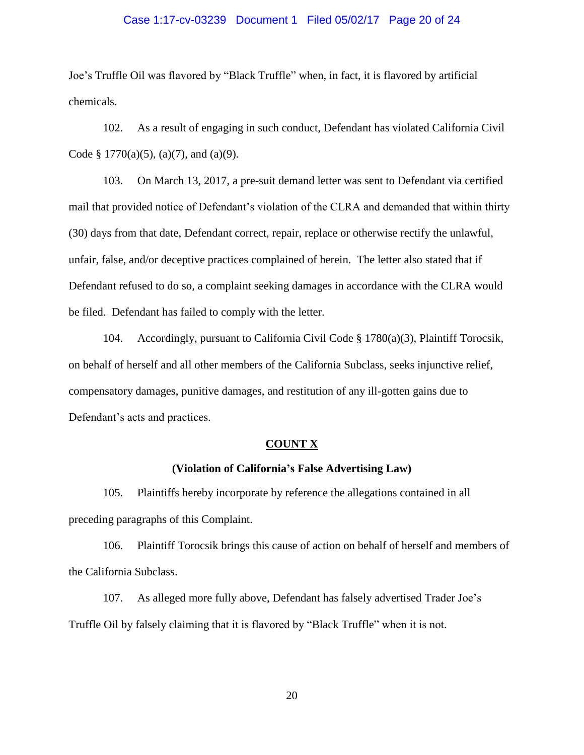#### Case 1:17-cv-03239 Document 1 Filed 05/02/17 Page 20 of 24

Joe's Truffle Oil was flavored by "Black Truffle" when, in fact, it is flavored by artificial chemicals.

102. As a result of engaging in such conduct, Defendant has violated California Civil Code § 1770(a)(5), (a)(7), and (a)(9).

103. On March 13, 2017, a pre-suit demand letter was sent to Defendant via certified mail that provided notice of Defendant's violation of the CLRA and demanded that within thirty (30) days from that date, Defendant correct, repair, replace or otherwise rectify the unlawful, unfair, false, and/or deceptive practices complained of herein. The letter also stated that if Defendant refused to do so, a complaint seeking damages in accordance with the CLRA would be filed. Defendant has failed to comply with the letter.

104. Accordingly, pursuant to California Civil Code § 1780(a)(3), Plaintiff Torocsik, on behalf of herself and all other members of the California Subclass, seeks injunctive relief, compensatory damages, punitive damages, and restitution of any ill-gotten gains due to Defendant's acts and practices.

#### **COUNT X**

## **(Violation of California's False Advertising Law)**

105. Plaintiffs hereby incorporate by reference the allegations contained in all preceding paragraphs of this Complaint.

106. Plaintiff Torocsik brings this cause of action on behalf of herself and members of the California Subclass.

107. As alleged more fully above, Defendant has falsely advertised Trader Joe's Truffle Oil by falsely claiming that it is flavored by "Black Truffle" when it is not.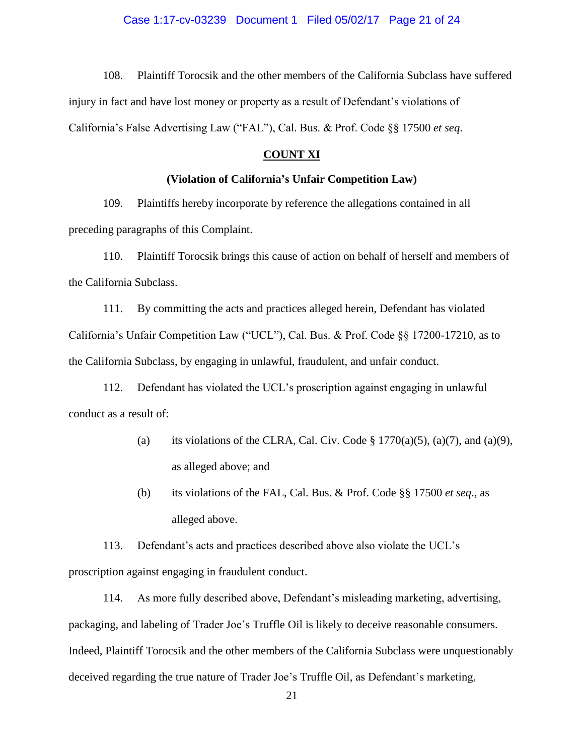108. Plaintiff Torocsik and the other members of the California Subclass have suffered injury in fact and have lost money or property as a result of Defendant's violations of California's False Advertising Law ("FAL"), Cal. Bus. & Prof. Code §§ 17500 *et seq*.

## **COUNT XI**

#### **(Violation of California's Unfair Competition Law)**

109. Plaintiffs hereby incorporate by reference the allegations contained in all preceding paragraphs of this Complaint.

110. Plaintiff Torocsik brings this cause of action on behalf of herself and members of the California Subclass.

111. By committing the acts and practices alleged herein, Defendant has violated California's Unfair Competition Law ("UCL"), Cal. Bus. & Prof. Code §§ 17200-17210, as to the California Subclass, by engaging in unlawful, fraudulent, and unfair conduct.

112. Defendant has violated the UCL's proscription against engaging in unlawful conduct as a result of:

- (a) its violations of the CLRA, Cal. Civ. Code  $\S 1770(a)(5)$ ,  $(a)(7)$ , and  $(a)(9)$ , as alleged above; and
- (b) its violations of the FAL, Cal. Bus. & Prof. Code §§ 17500 *et seq*., as alleged above.

113. Defendant's acts and practices described above also violate the UCL's proscription against engaging in fraudulent conduct.

114. As more fully described above, Defendant's misleading marketing, advertising, packaging, and labeling of Trader Joe's Truffle Oil is likely to deceive reasonable consumers. Indeed, Plaintiff Torocsik and the other members of the California Subclass were unquestionably deceived regarding the true nature of Trader Joe's Truffle Oil, as Defendant's marketing,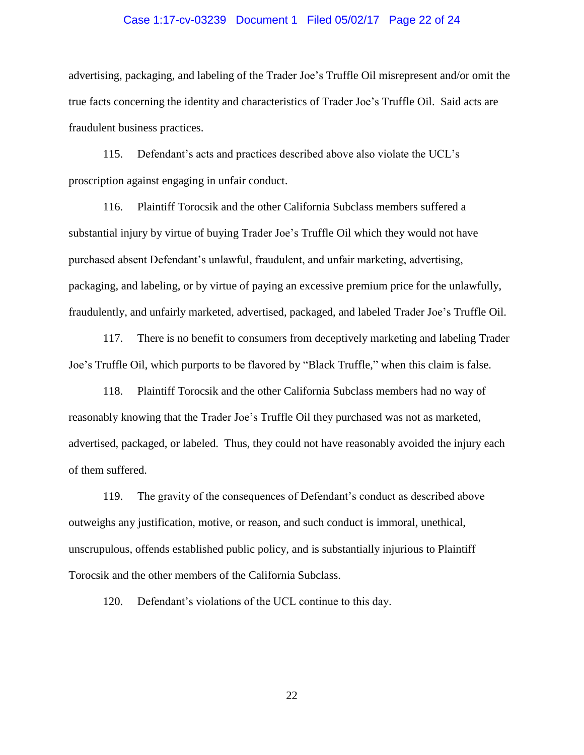#### Case 1:17-cv-03239 Document 1 Filed 05/02/17 Page 22 of 24

advertising, packaging, and labeling of the Trader Joe's Truffle Oil misrepresent and/or omit the true facts concerning the identity and characteristics of Trader Joe's Truffle Oil. Said acts are fraudulent business practices.

115. Defendant's acts and practices described above also violate the UCL's proscription against engaging in unfair conduct.

116. Plaintiff Torocsik and the other California Subclass members suffered a substantial injury by virtue of buying Trader Joe's Truffle Oil which they would not have purchased absent Defendant's unlawful, fraudulent, and unfair marketing, advertising, packaging, and labeling, or by virtue of paying an excessive premium price for the unlawfully, fraudulently, and unfairly marketed, advertised, packaged, and labeled Trader Joe's Truffle Oil.

117. There is no benefit to consumers from deceptively marketing and labeling Trader Joe's Truffle Oil, which purports to be flavored by "Black Truffle," when this claim is false.

118. Plaintiff Torocsik and the other California Subclass members had no way of reasonably knowing that the Trader Joe's Truffle Oil they purchased was not as marketed, advertised, packaged, or labeled. Thus, they could not have reasonably avoided the injury each of them suffered.

119. The gravity of the consequences of Defendant's conduct as described above outweighs any justification, motive, or reason, and such conduct is immoral, unethical, unscrupulous, offends established public policy, and is substantially injurious to Plaintiff Torocsik and the other members of the California Subclass.

120. Defendant's violations of the UCL continue to this day.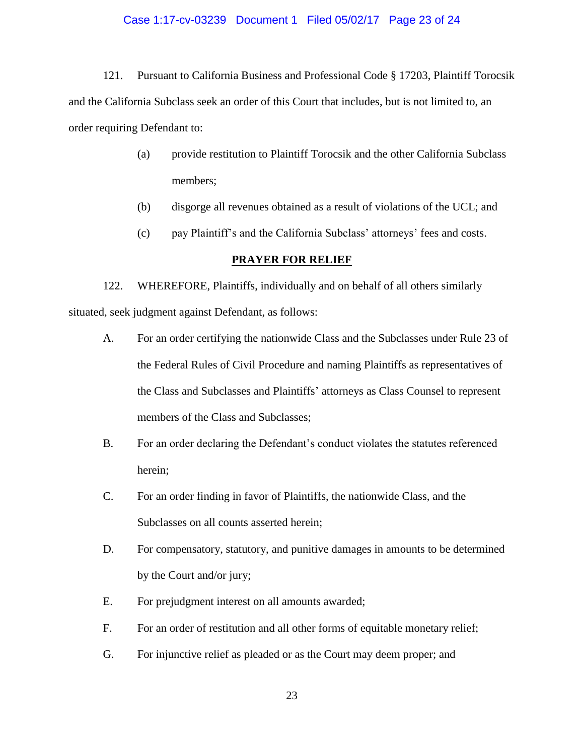#### Case 1:17-cv-03239 Document 1 Filed 05/02/17 Page 23 of 24

121. Pursuant to California Business and Professional Code § 17203, Plaintiff Torocsik and the California Subclass seek an order of this Court that includes, but is not limited to, an order requiring Defendant to:

- (a) provide restitution to Plaintiff Torocsik and the other California Subclass members;
- (b) disgorge all revenues obtained as a result of violations of the UCL; and
- (c) pay Plaintiff's and the California Subclass' attorneys' fees and costs.

### **PRAYER FOR RELIEF**

122. WHEREFORE, Plaintiffs, individually and on behalf of all others similarly situated, seek judgment against Defendant, as follows:

- A. For an order certifying the nationwide Class and the Subclasses under Rule 23 of the Federal Rules of Civil Procedure and naming Plaintiffs as representatives of the Class and Subclasses and Plaintiffs' attorneys as Class Counsel to represent members of the Class and Subclasses;
- B. For an order declaring the Defendant's conduct violates the statutes referenced herein;
- C. For an order finding in favor of Plaintiffs, the nationwide Class, and the Subclasses on all counts asserted herein;
- D. For compensatory, statutory, and punitive damages in amounts to be determined by the Court and/or jury;
- E. For prejudgment interest on all amounts awarded;
- F. For an order of restitution and all other forms of equitable monetary relief;
- G. For injunctive relief as pleaded or as the Court may deem proper; and